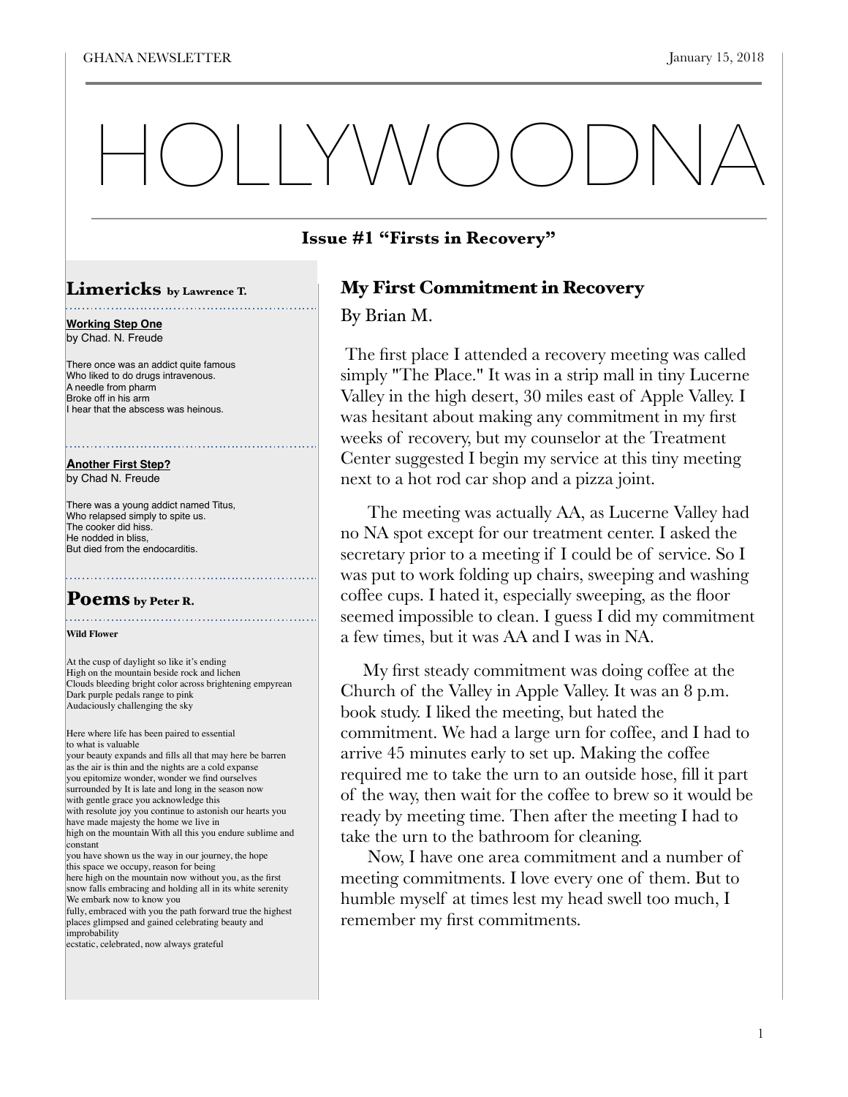# HOLLYWOODNA

## **Issue #1 "Firsts in Recovery"**

## My First Commitment in Recovery

By Brian M.

 The first place I attended a recovery meeting was called simply "The Place." It was in a strip mall in tiny Lucerne Valley in the high desert, 30 miles east of Apple Valley. I was hesitant about making any commitment in my first weeks of recovery, but my counselor at the Treatment Center suggested I begin my service at this tiny meeting next to a hot rod car shop and a pizza joint.

 The meeting was actually AA, as Lucerne Valley had no NA spot except for our treatment center. I asked the secretary prior to a meeting if I could be of service. So I was put to work folding up chairs, sweeping and washing coffee cups. I hated it, especially sweeping, as the floor seemed impossible to clean. I guess I did my commitment a few times, but it was AA and I was in NA.

 My first steady commitment was doing coffee at the Church of the Valley in Apple Valley. It was an 8 p.m. book study. I liked the meeting, but hated the commitment. We had a large urn for coffee, and I had to arrive 45 minutes early to set up. Making the coffee required me to take the urn to an outside hose, fill it part of the way, then wait for the coffee to brew so it would be ready by meeting time. Then after the meeting I had to take the urn to the bathroom for cleaning.

 Now, I have one area commitment and a number of meeting commitments. I love every one of them. But to humble myself at times lest my head swell too much, I remember my first commitments.

## **Limericks by Lawrence T.**

. . . . . . . . . . . . . . . . . .

**Working Step One** by Chad. N. Freude

There once was an addict quite famous Who liked to do drugs intravenous. A needle from pharm Broke off in his arm I hear that the abscess was heinous.

**Another First Step?** by Chad N. Freude

There was a young addict named Titus, Who relapsed simply to spite us. The cooker did hiss. He nodded in bliss, But died from the endocarditis.

# Poems by Peter R.

**Wild Flower** 

At the cusp of daylight so like it's ending High on the mountain beside rock and lichen Clouds bleeding bright color across brightening empyrean Dark purple pedals range to pink Audaciously challenging the sky

Here where life has been paired to essential to what is valuable your beauty expands and fills all that may here be barren

as the air is thin and the nights are a cold expanse you epitomize wonder, wonder we find ourselves surrounded by It is late and long in the season now with gentle grace you acknowledge this with resolute joy you continue to astonish our hearts you have made majesty the home we live in high on the mountain With all this you endure sublime and constant you have shown us the way in our journey, the hope

this space we occupy, reason for being here high on the mountain now without you, as the first

snow falls embracing and holding all in its white serenity We embark now to know you fully, embraced with you the path forward true the highest

places glimpsed and gained celebrating beauty and improbability

ecstatic, celebrated, now always grateful